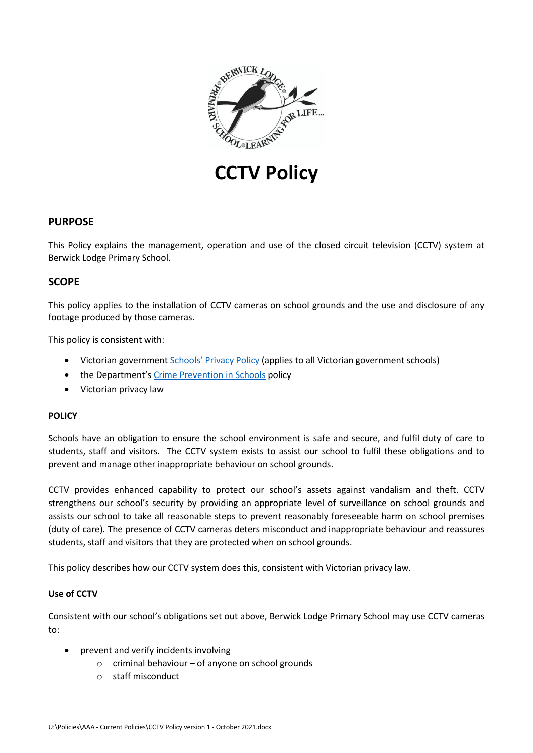

**CCTV Policy**

# **PURPOSE**

This Policy explains the management, operation and use of the closed circuit television (CCTV) system at Berwick Lodge Primary School.

### **SCOPE**

This policy applies to the installation of CCTV cameras on school grounds and the use and disclosure of any footage produced by those cameras.

This policy is consistent with:

- Victorian government [Schools' Privacy Policy](https://www.education.vic.gov.au/Pages/schoolsprivacypolicy.aspx) (applies to all Victorian government schools)
- the Department's [Crime Prevention in Schools](https://www2.education.vic.gov.au/pal/crime-prevention-schools/policy) policy
- Victorian privacy law

#### **POLICY**

Schools have an obligation to ensure the school environment is safe and secure, and fulfil duty of care to students, staff and visitors. The CCTV system exists to assist our school to fulfil these obligations and to prevent and manage other inappropriate behaviour on school grounds.

CCTV provides enhanced capability to protect our school's assets against vandalism and theft. CCTV strengthens our school's security by providing an appropriate level of surveillance on school grounds and assists our school to take all reasonable steps to prevent reasonably foreseeable harm on school premises (duty of care). The presence of CCTV cameras deters misconduct and inappropriate behaviour and reassures students, staff and visitors that they are protected when on school grounds.

This policy describes how our CCTV system does this, consistent with Victorian privacy law.

### **Use of CCTV**

Consistent with our school's obligations set out above, Berwick Lodge Primary School may use CCTV cameras to:

- prevent and verify incidents involving
	- o criminal behaviour of anyone on school grounds
	- o staff misconduct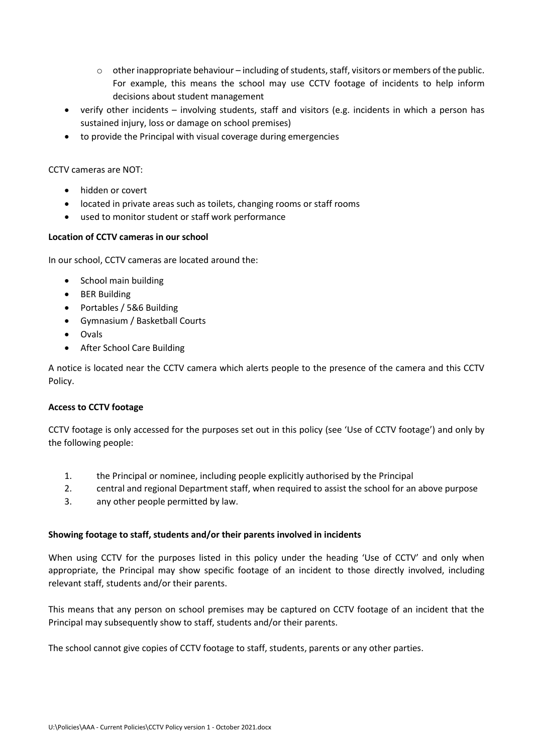- $\circ$  other inappropriate behaviour including of students, staff, visitors or members of the public. For example, this means the school may use CCTV footage of incidents to help inform decisions about student management
- verify other incidents involving students, staff and visitors (e.g. incidents in which a person has sustained injury, loss or damage on school premises)
- to provide the Principal with visual coverage during emergencies

CCTV cameras are NOT:

- hidden or covert
- located in private areas such as toilets, changing rooms or staff rooms
- used to monitor student or staff work performance

### **Location of CCTV cameras in our school**

In our school, CCTV cameras are located around the:

- School main building
- BER Building
- Portables / 5&6 Building
- Gymnasium / Basketball Courts
- Ovals
- After School Care Building

A notice is located near the CCTV camera which alerts people to the presence of the camera and this CCTV Policy.

#### **Access to CCTV footage**

CCTV footage is only accessed for the purposes set out in this policy (see 'Use of CCTV footage') and only by the following people:

- 1. the Principal or nominee, including people explicitly authorised by the Principal
- 2. central and regional Department staff, when required to assist the school for an above purpose
- 3. any other people permitted by law.

#### **Showing footage to staff, students and/or their parents involved in incidents**

When using CCTV for the purposes listed in this policy under the heading 'Use of CCTV' and only when appropriate, the Principal may show specific footage of an incident to those directly involved, including relevant staff, students and/or their parents.

This means that any person on school premises may be captured on CCTV footage of an incident that the Principal may subsequently show to staff, students and/or their parents.

The school cannot give copies of CCTV footage to staff, students, parents or any other parties.